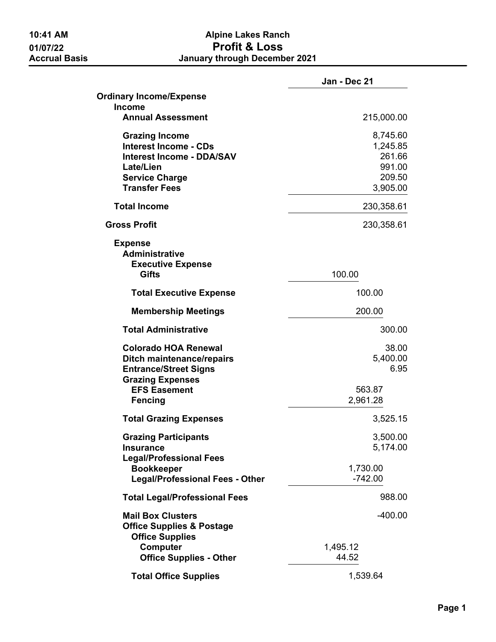## **10:41 AM Alpine Lakes Ranch 01/07/22 Profit & Loss January through December 2021**

|                                                                                                                            | Jan - Dec 21                             |
|----------------------------------------------------------------------------------------------------------------------------|------------------------------------------|
| <b>Ordinary Income/Expense</b>                                                                                             |                                          |
| <b>Income</b><br><b>Annual Assessment</b>                                                                                  | 215,000.00                               |
| <b>Grazing Income</b><br><b>Interest Income - CDs</b><br><b>Interest Income - DDA/SAV</b><br>Late/Lien                     | 8,745.60<br>1,245.85<br>261.66<br>991.00 |
| <b>Service Charge</b><br><b>Transfer Fees</b>                                                                              | 209.50<br>3,905.00                       |
| <b>Total Income</b>                                                                                                        | 230,358.61                               |
| <b>Gross Profit</b>                                                                                                        | 230,358.61                               |
| <b>Expense</b><br><b>Administrative</b><br><b>Executive Expense</b><br><b>Gifts</b>                                        | 100.00                                   |
|                                                                                                                            |                                          |
| <b>Total Executive Expense</b>                                                                                             | 100.00                                   |
| <b>Membership Meetings</b>                                                                                                 | 200.00                                   |
| <b>Total Administrative</b>                                                                                                | 300.00                                   |
| <b>Colorado HOA Renewal</b><br><b>Ditch maintenance/repairs</b><br><b>Entrance/Street Signs</b><br><b>Grazing Expenses</b> | 38.00<br>5,400.00<br>6.95                |
| <b>EFS Easement</b><br><b>Fencing</b>                                                                                      | 563.87<br>2,961.28                       |
| <b>Total Grazing Expenses</b>                                                                                              | 3,525.15                                 |
| <b>Grazing Participants</b><br><b>Insurance</b>                                                                            | 3,500.00<br>5,174.00                     |
| <b>Legal/Professional Fees</b><br><b>Bookkeeper</b><br><b>Legal/Professional Fees - Other</b>                              | 1,730.00<br>$-742.00$                    |
| <b>Total Legal/Professional Fees</b>                                                                                       | 988.00                                   |
| <b>Mail Box Clusters</b><br><b>Office Supplies &amp; Postage</b><br><b>Office Supplies</b>                                 | -400.00                                  |
| <b>Computer</b><br><b>Office Supplies - Other</b>                                                                          | 1,495.12<br>44.52                        |
| <b>Total Office Supplies</b>                                                                                               | 1,539.64                                 |